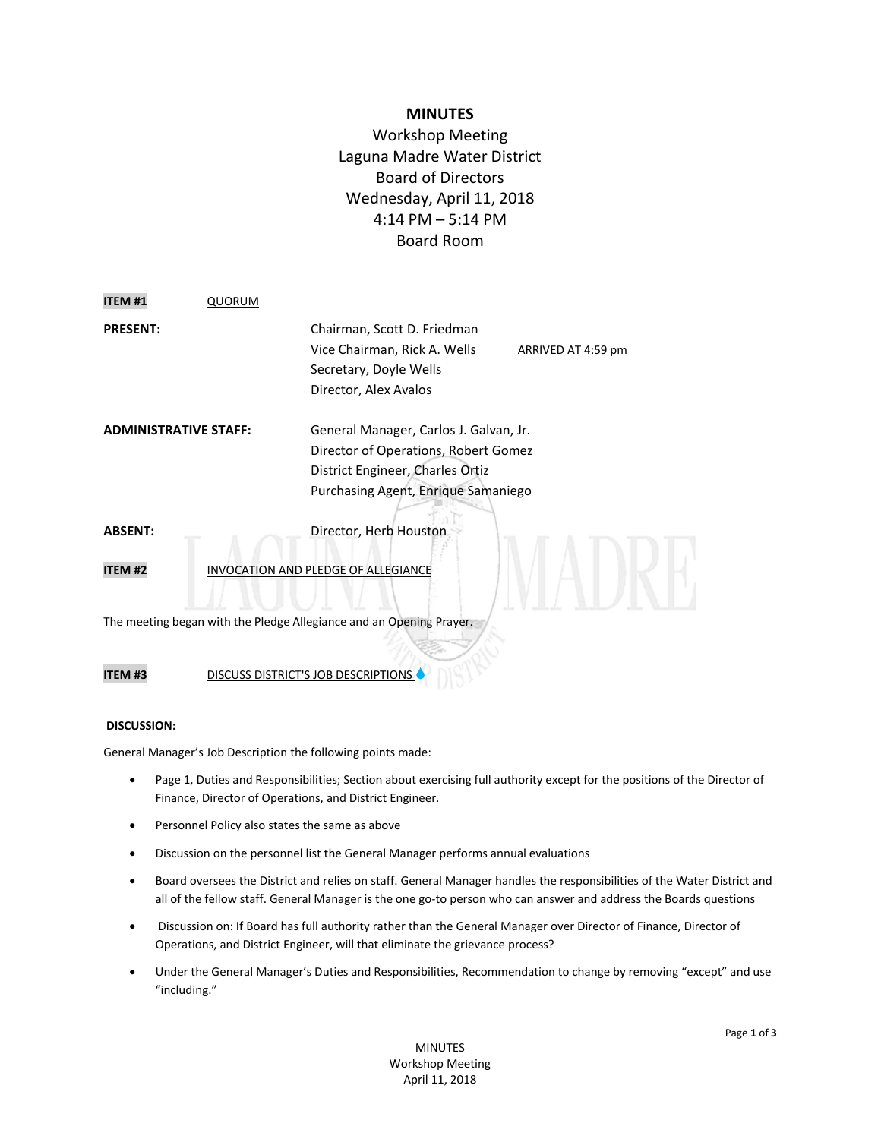# **MINUTES**

Workshop Meeting Laguna Madre Water District Board of Directors Wednesday, April 11, 2018 4:14 PM – 5:14 PM Board Room

| <b>ITEM #1</b>                                                      | QUORUM |                                                                                                                                                           |                    |
|---------------------------------------------------------------------|--------|-----------------------------------------------------------------------------------------------------------------------------------------------------------|--------------------|
| <b>PRESENT:</b>                                                     |        | Chairman, Scott D. Friedman<br>Vice Chairman, Rick A. Wells<br>Secretary, Doyle Wells<br>Director, Alex Avalos                                            | ARRIVED AT 4:59 pm |
| ADMINISTRATIVE STAFF:                                               |        | General Manager, Carlos J. Galvan, Jr.<br>Director of Operations, Robert Gomez<br>District Engineer, Charles Ortiz<br>Purchasing Agent, Enrique Samaniego |                    |
| ABSENT:                                                             |        | Director, Herb Houston                                                                                                                                    |                    |
| <b>ITEM #2</b>                                                      |        | INVOCATION AND PLEDGE OF ALLEGIANCE                                                                                                                       |                    |
| The meeting began with the Pledge Allegiance and an Opening Prayer. |        |                                                                                                                                                           |                    |
|                                                                     |        |                                                                                                                                                           |                    |

**ITEM #3** DISCUSS DISTRICT'S JOB DESCRIPTIONS

### **DISCUSSION:**

General Manager's Job Description the following points made:

- Page 1, Duties and Responsibilities; Section about exercising full authority except for the positions of the Director of Finance, Director of Operations, and District Engineer.
- **•** Personnel Policy also states the same as above
- Discussion on the personnel list the General Manager performs annual evaluations
- Board oversees the District and relies on staff. General Manager handles the responsibilities of the Water District and all of the fellow staff. General Manager is the one go-to person who can answer and address the Boards questions
- Discussion on: If Board has full authority rather than the General Manager over Director of Finance, Director of Operations, and District Engineer, will that eliminate the grievance process?
- Under the General Manager's Duties and Responsibilities, Recommendation to change by removing "except" and use "including."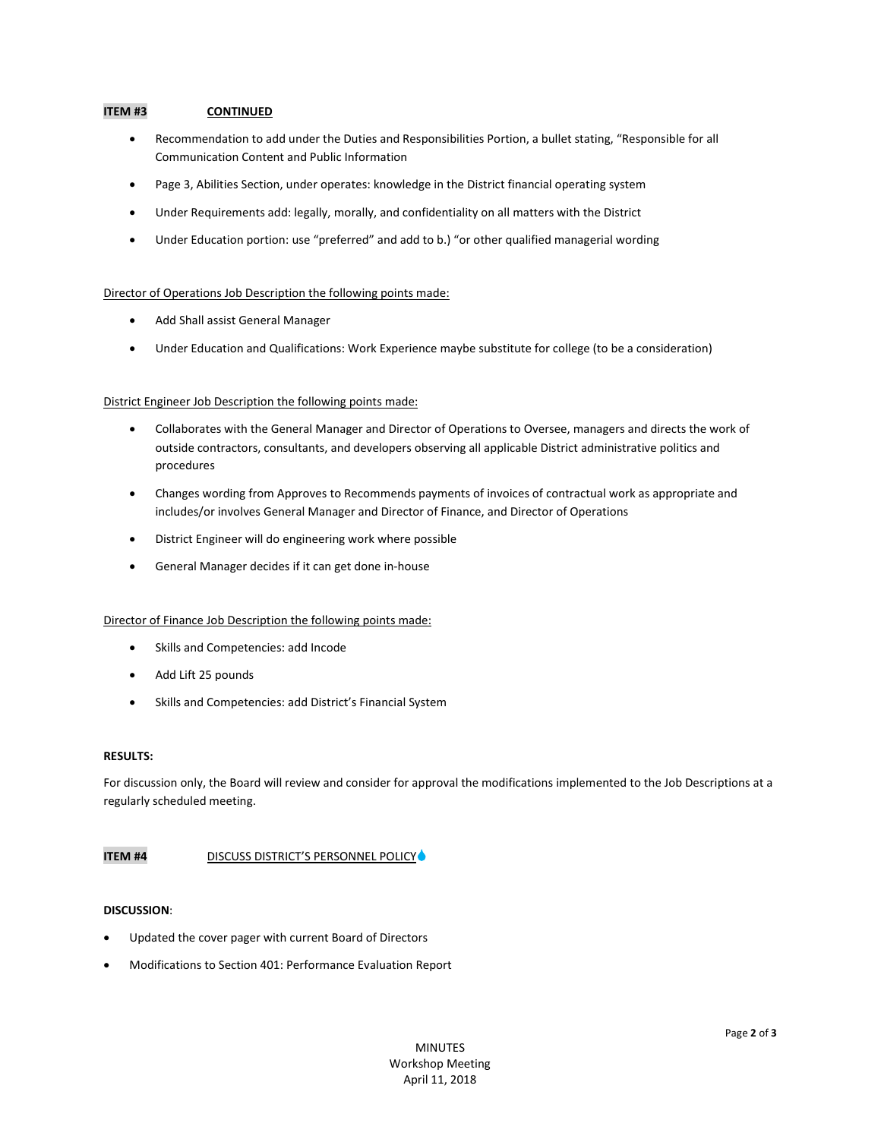## **ITEM #3 CONTINUED**

- Recommendation to add under the Duties and Responsibilities Portion, a bullet stating, "Responsible for all Communication Content and Public Information
- Page 3, Abilities Section, under operates: knowledge in the District financial operating system
- Under Requirements add: legally, morally, and confidentiality on all matters with the District
- Under Education portion: use "preferred" and add to b.) "or other qualified managerial wording

#### Director of Operations Job Description the following points made:

- Add Shall assist General Manager
- Under Education and Qualifications: Work Experience maybe substitute for college (to be a consideration)

#### District Engineer Job Description the following points made:

- Collaborates with the General Manager and Director of Operations to Oversee, managers and directs the work of outside contractors, consultants, and developers observing all applicable District administrative politics and procedures
- Changes wording from Approves to Recommends payments of invoices of contractual work as appropriate and includes/or involves General Manager and Director of Finance, and Director of Operations
- District Engineer will do engineering work where possible
- General Manager decides if it can get done in-house

#### Director of Finance Job Description the following points made:

- Skills and Competencies: add Incode
- Add Lift 25 pounds
- Skills and Competencies: add District's Financial System

#### **RESULTS:**

For discussion only, the Board will review and consider for approval the modifications implemented to the Job Descriptions at a regularly scheduled meeting.

#### **ITEM #4** DISCUSS DISTRICT'S PERSONNEL POLICY

#### **DISCUSSION**:

- Updated the cover pager with current Board of Directors
- Modifications to Section 401: Performance Evaluation Report